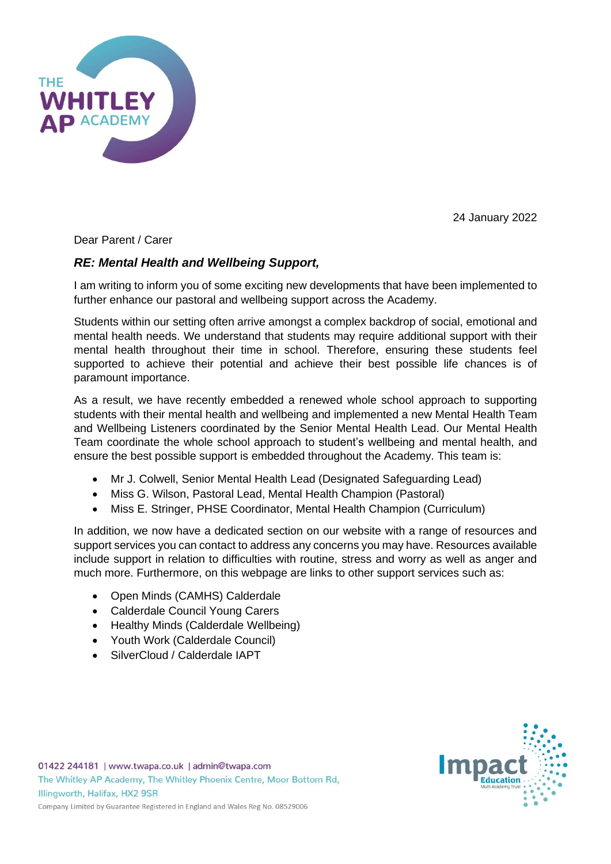

24 January 2022

Dear Parent / Carer

## *RE: Mental Health and Wellbeing Support,*

I am writing to inform you of some exciting new developments that have been implemented to further enhance our pastoral and wellbeing support across the Academy.

Students within our setting often arrive amongst a complex backdrop of social, emotional and mental health needs. We understand that students may require additional support with their mental health throughout their time in school. Therefore, ensuring these students feel supported to achieve their potential and achieve their best possible life chances is of paramount importance.

As a result, we have recently embedded a renewed whole school approach to supporting students with their mental health and wellbeing and implemented a new Mental Health Team and Wellbeing Listeners coordinated by the Senior Mental Health Lead. Our Mental Health Team coordinate the whole school approach to student's wellbeing and mental health, and ensure the best possible support is embedded throughout the Academy. This team is:

- Mr J. Colwell, Senior Mental Health Lead (Designated Safeguarding Lead)
- Miss G. Wilson, Pastoral Lead, Mental Health Champion (Pastoral)
- Miss E. Stringer, PHSE Coordinator, Mental Health Champion (Curriculum)

In addition, we now have a dedicated section on our website with a range of resources and support services you can contact to address any concerns you may have. Resources available include support in relation to difficulties with routine, stress and worry as well as anger and much more. Furthermore, on this webpage are links to other support services such as:

- Open Minds (CAMHS) Calderdale
- Calderdale Council Young Carers
- Healthy Minds (Calderdale Wellbeing)
- Youth Work (Calderdale Council)
- SilverCloud / Calderdale IAPT